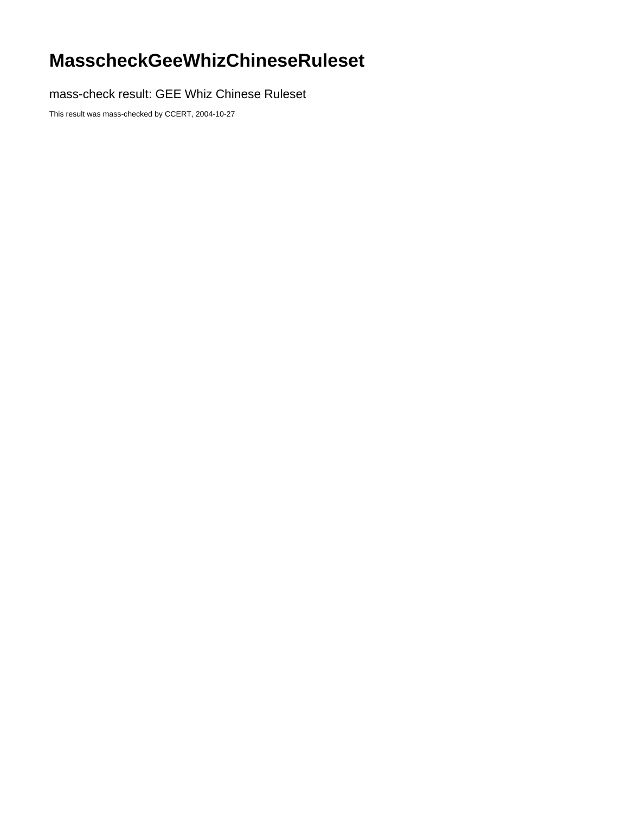## **MasscheckGeeWhizChineseRuleset**

mass-check result: GEE Whiz Chinese Ruleset

This result was mass-checked by CCERT, 2004-10-27